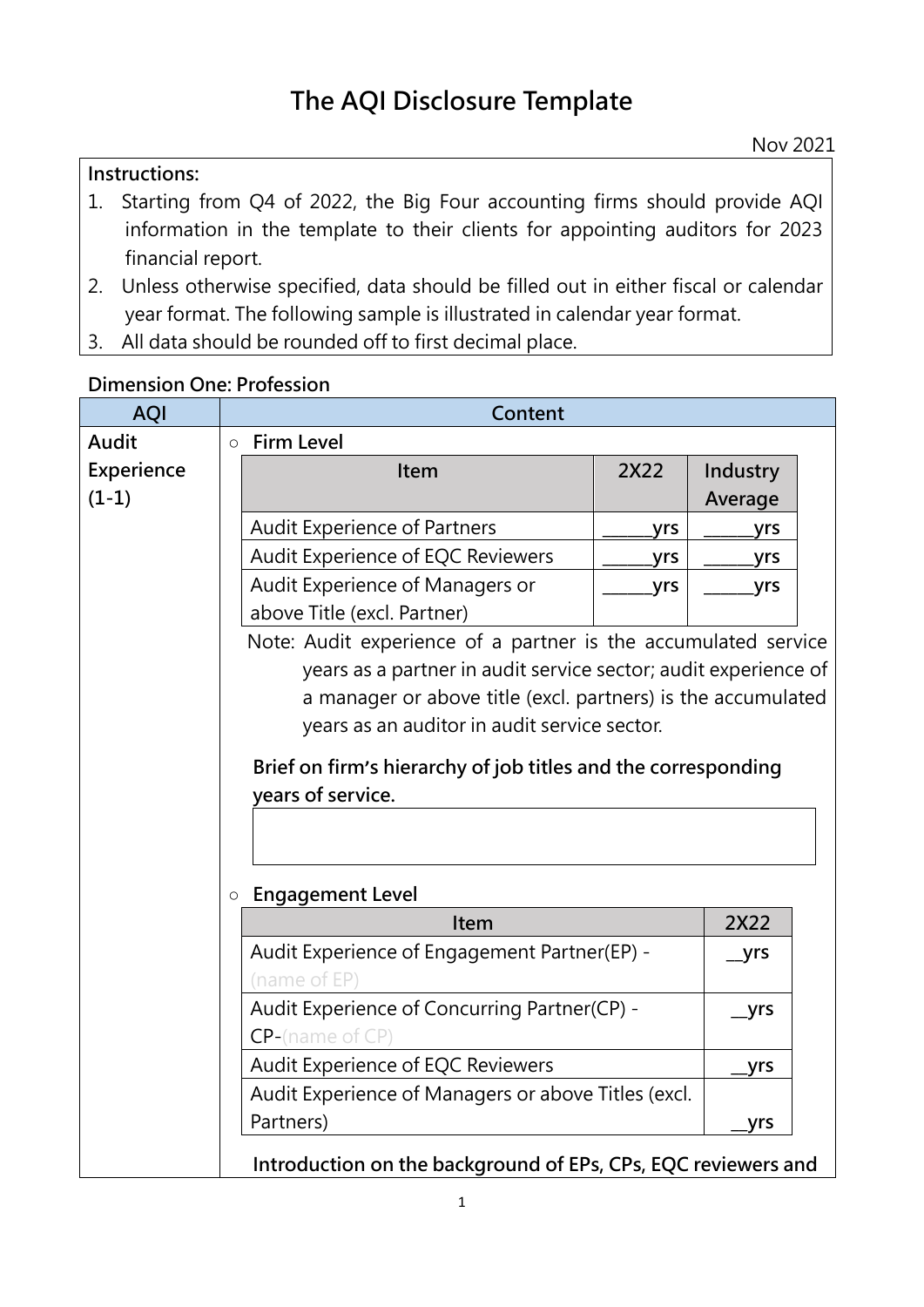#### **Instructions:**

- 1. Starting from Q4 of 2022, the Big Four accounting firms should provide AQI information in the template to their clients for appointing auditors for 2023 financial report.
- 2. Unless otherwise specified, data should be filled out in either fiscal or calendar year format. The following sample is illustrated in calendar year format.
- 3. All data should be rounded off to first decimal place.

#### **Dimension One: Profession**

| <b>AQI</b>            |         | Content                                                                                                                                                                                            |      |                     |  |  |  |  |
|-----------------------|---------|----------------------------------------------------------------------------------------------------------------------------------------------------------------------------------------------------|------|---------------------|--|--|--|--|
| Audit                 | $\circ$ | <b>Firm Level</b>                                                                                                                                                                                  |      |                     |  |  |  |  |
| Experience<br>$(1-1)$ |         | Item                                                                                                                                                                                               | 2X22 | Industry<br>Average |  |  |  |  |
|                       |         | <b>Audit Experience of Partners</b>                                                                                                                                                                | yrs  | yrs                 |  |  |  |  |
|                       |         | Audit Experience of EQC Reviewers                                                                                                                                                                  | yrs  | yrs                 |  |  |  |  |
|                       |         | Audit Experience of Managers or                                                                                                                                                                    | yrs  | yrs                 |  |  |  |  |
|                       |         | above Title (excl. Partner)                                                                                                                                                                        |      |                     |  |  |  |  |
|                       |         | a manager or above title (excl. partners) is the accumulated<br>years as an auditor in audit service sector.<br>Brief on firm's hierarchy of job titles and the corresponding<br>vears of service. |      |                     |  |  |  |  |
|                       | $\circ$ | <b>Engagement Level</b><br>Item                                                                                                                                                                    | 2X22 |                     |  |  |  |  |
|                       |         | Audit Experience of Engagement Partner(EP) -<br>(name of EP)                                                                                                                                       |      | _yrs                |  |  |  |  |
|                       |         | Audit Experience of Concurring Partner(CP) -<br>$CP$ -(name of $CP$ )                                                                                                                              |      | yrs                 |  |  |  |  |
|                       |         | Audit Experience of EQC Reviewers                                                                                                                                                                  |      | yrs                 |  |  |  |  |
|                       |         | Audit Experience of Managers or above Titles (excl.                                                                                                                                                |      |                     |  |  |  |  |
|                       |         | Partners)                                                                                                                                                                                          |      | yrs                 |  |  |  |  |
|                       |         | Introduction on the background of EPs, CPs, EQC reviewers and                                                                                                                                      |      |                     |  |  |  |  |

Nov 2021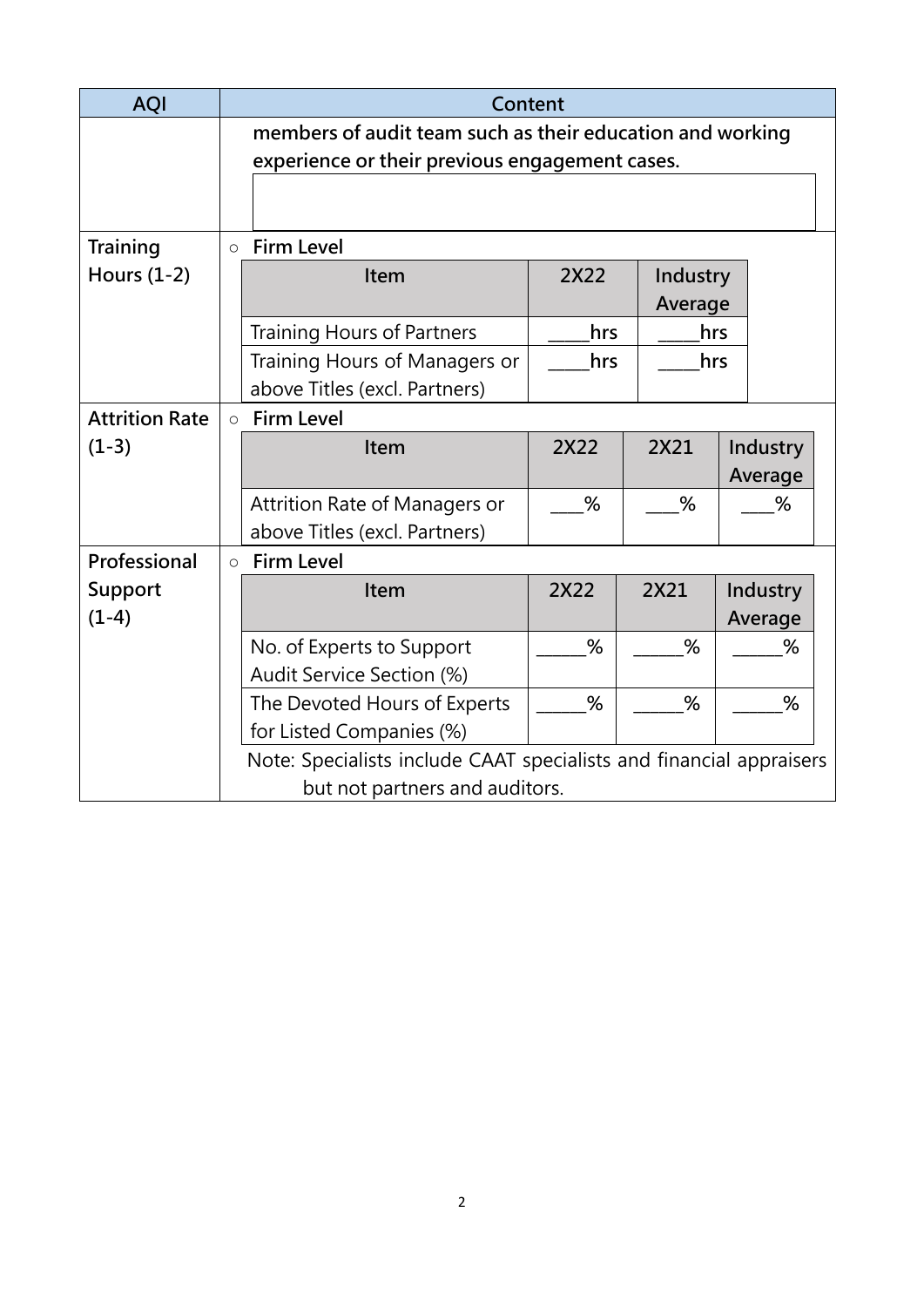| <b>AQI</b>            |                                | Content                                                             |      |          |          |  |  |
|-----------------------|--------------------------------|---------------------------------------------------------------------|------|----------|----------|--|--|
|                       |                                | members of audit team such as their education and working           |      |          |          |  |  |
|                       |                                | experience or their previous engagement cases.                      |      |          |          |  |  |
|                       |                                |                                                                     |      |          |          |  |  |
|                       |                                |                                                                     |      |          |          |  |  |
| Training              | $\circ$                        | <b>Firm Level</b>                                                   |      |          |          |  |  |
| Hours $(1-2)$         |                                | Item                                                                | 2X22 | Industry |          |  |  |
|                       |                                |                                                                     |      | Average  |          |  |  |
|                       |                                | <b>Training Hours of Partners</b>                                   | hrs  | hrs      |          |  |  |
|                       |                                | Training Hours of Managers or                                       | hrs  |          |          |  |  |
|                       |                                | above Titles (excl. Partners)                                       |      |          |          |  |  |
| <b>Attrition Rate</b> | $\circ$                        | <b>Firm Level</b>                                                   |      |          |          |  |  |
| $(1-3)$               |                                | Item                                                                | 2X22 | 2X21     | Industry |  |  |
|                       |                                |                                                                     |      |          | Average  |  |  |
|                       |                                | %<br>%<br>Attrition Rate of Managers or                             |      | %        |          |  |  |
|                       |                                | above Titles (excl. Partners)                                       |      |          |          |  |  |
| Professional          | $\circ$                        | <b>Firm Level</b>                                                   |      |          |          |  |  |
| Support               |                                | Item                                                                | 2X22 | 2X21     | Industry |  |  |
| $(1-4)$               |                                |                                                                     |      |          | Average  |  |  |
|                       |                                | No. of Experts to Support                                           | %    | %        | %        |  |  |
|                       |                                | Audit Service Section (%)                                           |      |          |          |  |  |
|                       |                                | The Devoted Hours of Experts                                        | %    | %        | %        |  |  |
|                       |                                | for Listed Companies (%)                                            |      |          |          |  |  |
|                       |                                | Note: Specialists include CAAT specialists and financial appraisers |      |          |          |  |  |
|                       | but not partners and auditors. |                                                                     |      |          |          |  |  |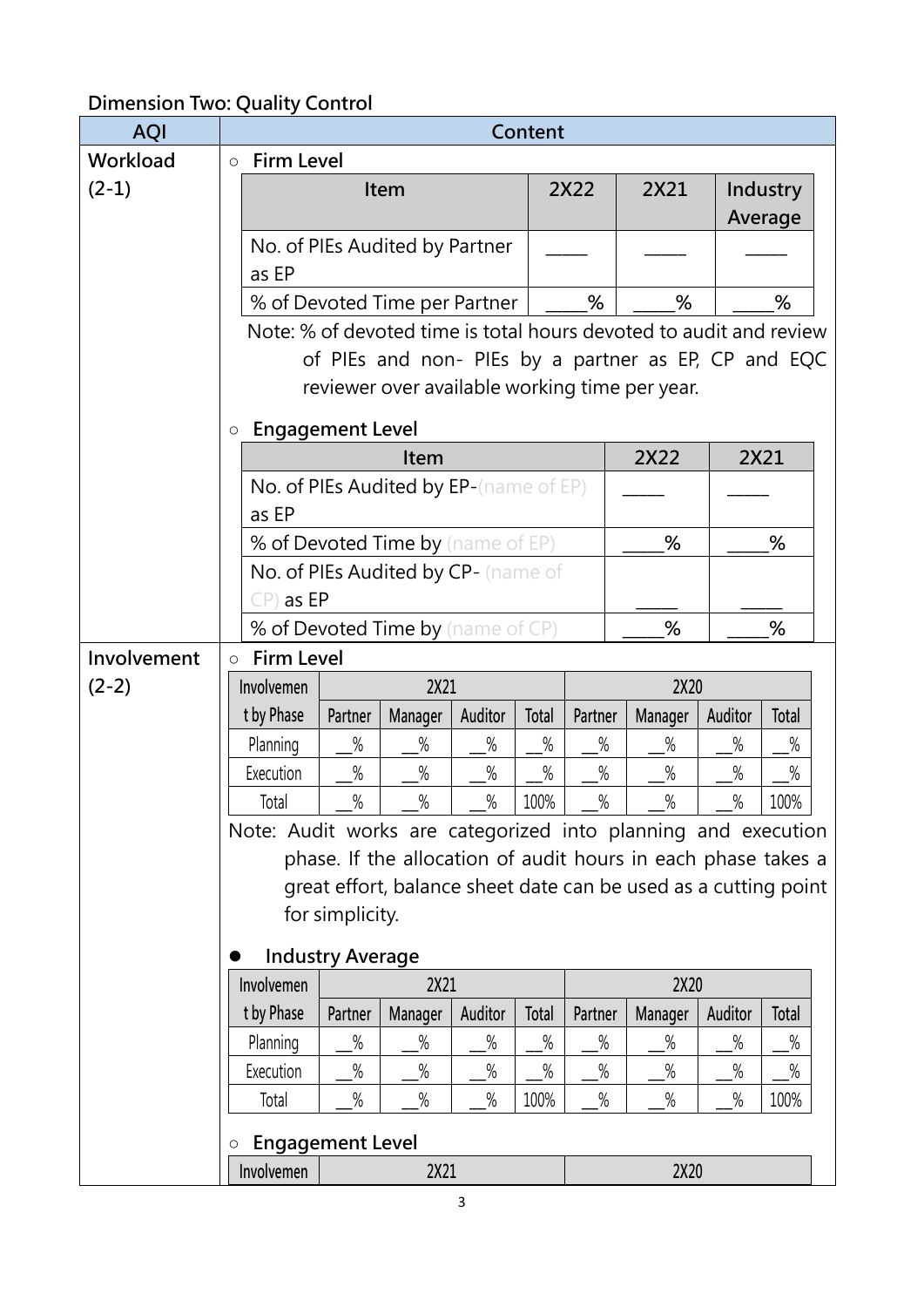# **Dimension Two: Quality Control**

| <b>AQI</b>  | Content                                                            |         |                                        |         |       |         |                                                               |         |                 |  |
|-------------|--------------------------------------------------------------------|---------|----------------------------------------|---------|-------|---------|---------------------------------------------------------------|---------|-----------------|--|
| Workload    | <b>Firm Level</b><br>$\circ$                                       |         |                                        |         |       |         |                                                               |         |                 |  |
| $(2-1)$     |                                                                    |         | Item                                   |         |       | 2X22    | 2X21                                                          |         | <b>Industry</b> |  |
|             |                                                                    |         |                                        |         |       |         |                                                               |         | Average         |  |
|             |                                                                    |         | No. of PIEs Audited by Partner         |         |       |         |                                                               |         |                 |  |
|             | as EP                                                              |         |                                        |         |       |         |                                                               |         |                 |  |
|             |                                                                    |         | % of Devoted Time per Partner          |         |       | %       | %                                                             |         | %               |  |
|             | Note: % of devoted time is total hours devoted to audit and review |         |                                        |         |       |         |                                                               |         |                 |  |
|             |                                                                    |         |                                        |         |       |         | of PIEs and non- PIEs by a partner as EP, CP and EQC          |         |                 |  |
|             |                                                                    |         |                                        |         |       |         | reviewer over available working time per year.                |         |                 |  |
|             | <b>Engagement Level</b><br>$\circ$                                 |         |                                        |         |       |         |                                                               |         |                 |  |
|             |                                                                    |         | <b>Item</b>                            |         |       |         | 2X22                                                          |         | 2X21            |  |
|             |                                                                    |         | No. of PIEs Audited by EP-(name of EP) |         |       |         |                                                               |         |                 |  |
|             | as EP                                                              |         |                                        |         |       |         |                                                               |         |                 |  |
|             |                                                                    |         | % of Devoted Time by (name of EP)      |         |       |         | %                                                             |         | %               |  |
|             |                                                                    |         | No. of PIEs Audited by CP- (name of    |         |       |         |                                                               |         |                 |  |
|             | $CP$ ) as EP                                                       |         |                                        |         |       |         |                                                               |         |                 |  |
|             |                                                                    |         | % of Devoted Time by (name of CP)      |         |       |         | %                                                             |         | %               |  |
| Involvement | <b>Firm Level</b><br>$\circ$                                       |         |                                        |         |       |         |                                                               |         |                 |  |
| $(2-2)$     | Involvemen                                                         |         | 2X21                                   |         |       |         | 2X20                                                          |         |                 |  |
|             | t by Phase                                                         | Partner | Manager                                | Auditor | Total | Partner | Manager                                                       | Auditor | Total           |  |
|             | Planning                                                           | $\%$    | $\%$                                   | $\%$    | $\%$  | $\%$    | $\%$                                                          | $\%$    | $\%$            |  |
|             | Execution                                                          | $\%$    | $\%$                                   | $\%$    | $\%$  | $\%$    | $\%$                                                          | $\%$    | $\%$            |  |
|             | Total                                                              | $\%$    | $\%$                                   | $\%$    | 100%  | $\%$    | $\%$                                                          | $\%$    | 100%            |  |
|             | Note: Audit works are categorized into planning and execution      |         |                                        |         |       |         |                                                               |         |                 |  |
|             |                                                                    |         |                                        |         |       |         | phase. If the allocation of audit hours in each phase takes a |         |                 |  |
|             | great effort, balance sheet date can be used as a cutting point    |         |                                        |         |       |         |                                                               |         |                 |  |
|             | for simplicity.                                                    |         |                                        |         |       |         |                                                               |         |                 |  |
|             | <b>Industry Average</b>                                            |         |                                        |         |       |         |                                                               |         |                 |  |
|             | Involvemen<br>2X21                                                 |         |                                        |         |       |         | 2X20                                                          |         |                 |  |
|             | t by Phase                                                         | Partner | Manager                                | Auditor | Total | Partner | Manager                                                       | Auditor | Total           |  |
|             | Planning                                                           | $\%$    | $\%$                                   | $\%$    | $\%$  | $\%$    | $\%$                                                          | $\%$    | $\%$            |  |
|             | Execution                                                          | $\%$    | $\%$                                   | $\%$    | $\%$  | $\%$    | $\%$                                                          | $\%$    | $\%$            |  |
|             | Total                                                              | $\%$    | $\%$                                   | $\%$    | 100%  | $\%$    | $\%$                                                          | $\%$    | 100%            |  |
|             | <b>Engagement Level</b><br>O                                       |         |                                        |         |       |         |                                                               |         |                 |  |
|             | Involvemen<br>2X21                                                 |         |                                        |         |       | 2X20    |                                                               |         |                 |  |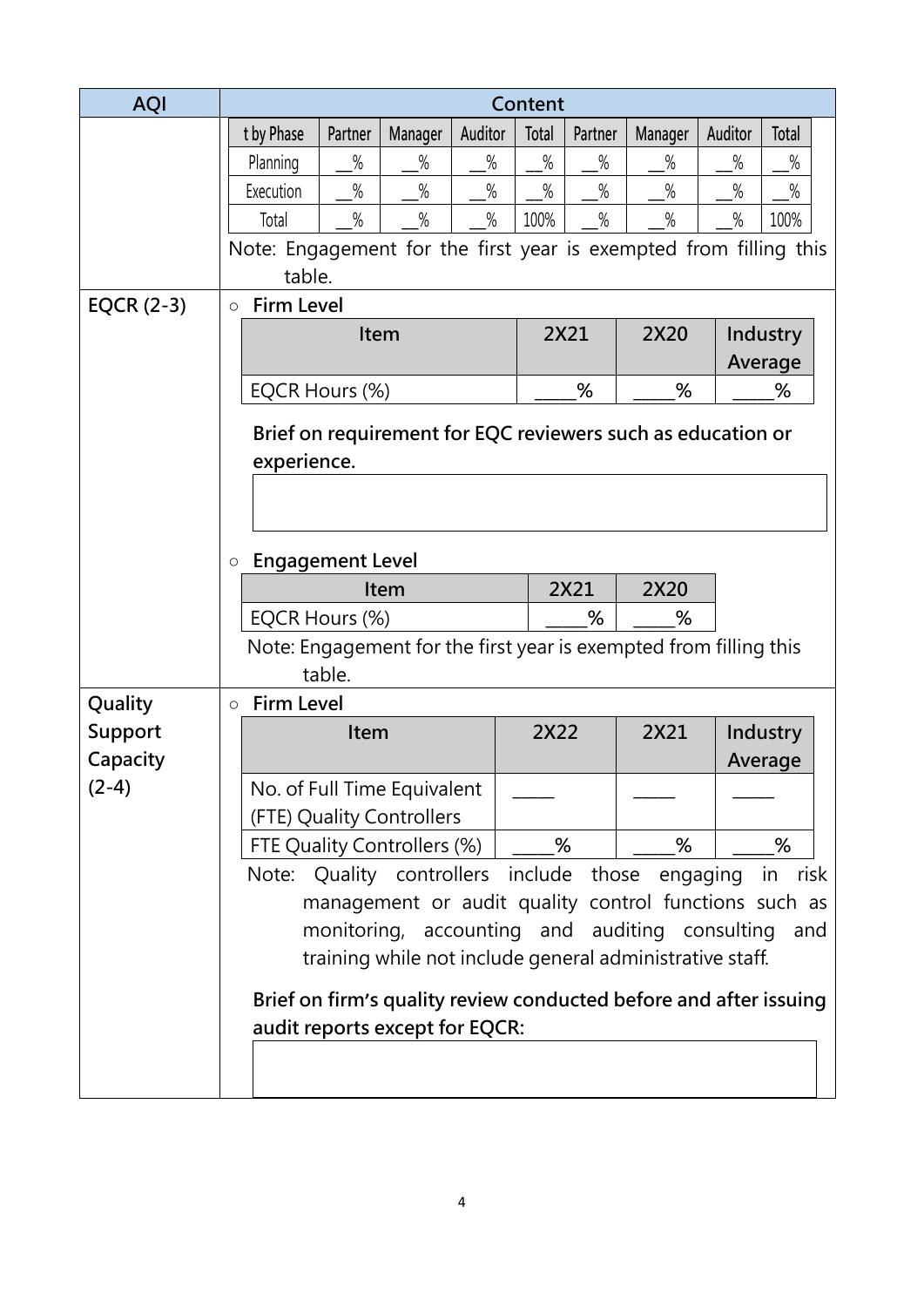| <b>AQI</b>   |                                    | Content                                                                                                           |                |                                |         |       |         |                                                                   |         |                 |  |
|--------------|------------------------------------|-------------------------------------------------------------------------------------------------------------------|----------------|--------------------------------|---------|-------|---------|-------------------------------------------------------------------|---------|-----------------|--|
|              |                                    | t by Phase                                                                                                        | Partner        | Manager                        | Auditor | Total | Partner | Manager                                                           | Auditor | Total           |  |
|              |                                    | Planning                                                                                                          | $\%$           | $\%$                           | $\%$    | $\%$  | $\%$    | $\%$                                                              | $\%$    | $\%$            |  |
|              |                                    | Execution                                                                                                         | $\%$           | $\%$                           | $\%$    | $\%$  | $\%$    | $\%$                                                              | $\%$    | $\%$            |  |
|              |                                    | Total                                                                                                             | $\%$           | $\%$                           | $\%$    | 100%  | $\%$    | $\%$                                                              | $\%$    | 100%            |  |
|              |                                    |                                                                                                                   |                |                                |         |       |         | Note: Engagement for the first year is exempted from filling this |         |                 |  |
|              |                                    | table.                                                                                                            |                |                                |         |       |         |                                                                   |         |                 |  |
| EQCR $(2-3)$ | $\circ$                            | <b>Firm Level</b>                                                                                                 |                |                                |         |       |         |                                                                   |         |                 |  |
|              |                                    |                                                                                                                   | Item           |                                |         |       | 2X21    | 2X20                                                              |         | <b>Industry</b> |  |
|              |                                    |                                                                                                                   |                |                                |         |       |         |                                                                   |         | Average         |  |
|              |                                    |                                                                                                                   | EQCR Hours (%) |                                |         |       | %       | %                                                                 |         | %               |  |
|              |                                    |                                                                                                                   |                |                                |         |       |         | Brief on requirement for EQC reviewers such as education or       |         |                 |  |
|              |                                    | experience.                                                                                                       |                |                                |         |       |         |                                                                   |         |                 |  |
|              |                                    |                                                                                                                   |                |                                |         |       |         |                                                                   |         |                 |  |
|              |                                    |                                                                                                                   |                |                                |         |       |         |                                                                   |         |                 |  |
|              | <b>Engagement Level</b><br>$\circ$ |                                                                                                                   |                |                                |         |       |         |                                                                   |         |                 |  |
|              | 2X21<br>2X20<br>Item               |                                                                                                                   |                |                                |         |       |         |                                                                   |         |                 |  |
|              |                                    | EQCR Hours (%)<br>%<br>%                                                                                          |                |                                |         |       |         |                                                                   |         |                 |  |
|              |                                    | Note: Engagement for the first year is exempted from filling this                                                 |                |                                |         |       |         |                                                                   |         |                 |  |
|              |                                    |                                                                                                                   | table.         |                                |         |       |         |                                                                   |         |                 |  |
| Quality      | $\circ$                            | <b>Firm Level</b>                                                                                                 |                |                                |         |       |         |                                                                   |         |                 |  |
| Support      |                                    |                                                                                                                   | Item           |                                |         | 2X22  |         | 2X21                                                              |         | <b>Industry</b> |  |
| Capacity     |                                    |                                                                                                                   |                |                                |         |       |         |                                                                   |         | Average         |  |
| $(2-4)$      |                                    |                                                                                                                   |                | No. of Full Time Equivalent    |         |       |         |                                                                   |         |                 |  |
|              |                                    |                                                                                                                   |                | (FTE) Quality Controllers      |         |       |         |                                                                   |         |                 |  |
|              |                                    |                                                                                                                   |                | FTE Quality Controllers (%)    |         |       | %       | %                                                                 |         | %               |  |
|              |                                    |                                                                                                                   |                |                                |         |       |         | Note: Quality controllers include those engaging                  |         | in<br>risk      |  |
|              |                                    |                                                                                                                   |                |                                |         |       |         | management or audit quality control functions such as             |         |                 |  |
|              |                                    | monitoring, accounting and auditing consulting<br>and<br>training while not include general administrative staff. |                |                                |         |       |         |                                                                   |         |                 |  |
|              |                                    |                                                                                                                   |                |                                |         |       |         |                                                                   |         |                 |  |
|              |                                    |                                                                                                                   |                |                                |         |       |         | Brief on firm's quality review conducted before and after issuing |         |                 |  |
|              |                                    |                                                                                                                   |                | audit reports except for EQCR: |         |       |         |                                                                   |         |                 |  |
|              |                                    |                                                                                                                   |                |                                |         |       |         |                                                                   |         |                 |  |
|              |                                    |                                                                                                                   |                |                                |         |       |         |                                                                   |         |                 |  |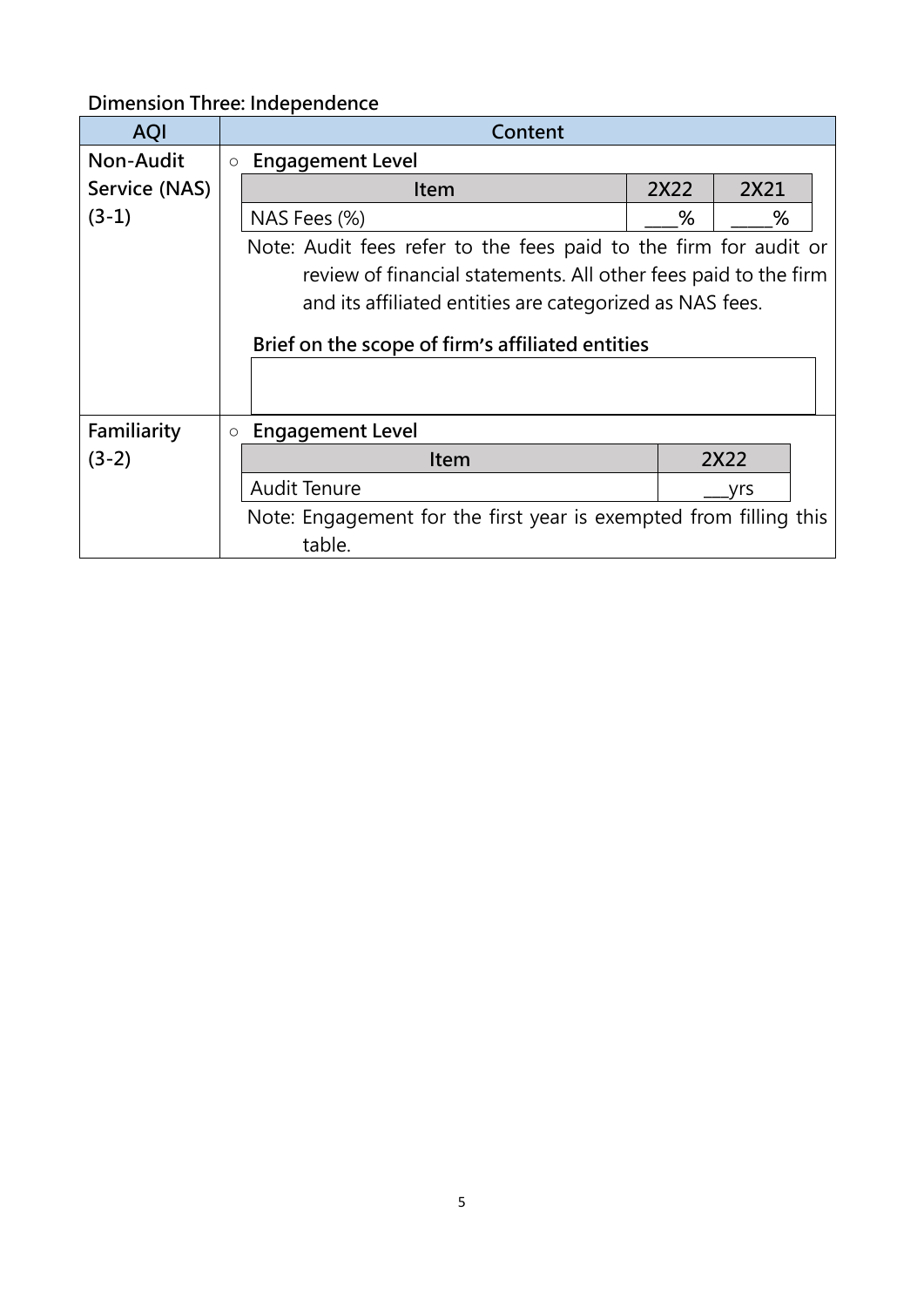# **Dimension Three: Independence**

| <b>AQI</b>    |            | Content                                                           |        |  |  |  |  |  |  |
|---------------|------------|-------------------------------------------------------------------|--------|--|--|--|--|--|--|
| Non-Audit     | $\bigcirc$ | <b>Engagement Level</b>                                           |        |  |  |  |  |  |  |
| Service (NAS) |            | 2X22<br>2X21<br><b>Item</b>                                       |        |  |  |  |  |  |  |
| $(3-1)$       |            | NAS Fees (%)                                                      | %<br>% |  |  |  |  |  |  |
|               |            | Note: Audit fees refer to the fees paid to the firm for audit or  |        |  |  |  |  |  |  |
|               |            | review of financial statements. All other fees paid to the firm   |        |  |  |  |  |  |  |
|               |            | and its affiliated entities are categorized as NAS fees.          |        |  |  |  |  |  |  |
|               |            |                                                                   |        |  |  |  |  |  |  |
|               |            | Brief on the scope of firm's affiliated entities                  |        |  |  |  |  |  |  |
|               |            |                                                                   |        |  |  |  |  |  |  |
|               |            |                                                                   |        |  |  |  |  |  |  |
| Familiarity   | $\circ$    | <b>Engagement Level</b>                                           |        |  |  |  |  |  |  |
| $(3-2)$       |            | 2X22<br>Item                                                      |        |  |  |  |  |  |  |
|               |            | <b>Audit Tenure</b><br>vrs                                        |        |  |  |  |  |  |  |
|               |            | Note: Engagement for the first year is exempted from filling this |        |  |  |  |  |  |  |
|               |            | table.                                                            |        |  |  |  |  |  |  |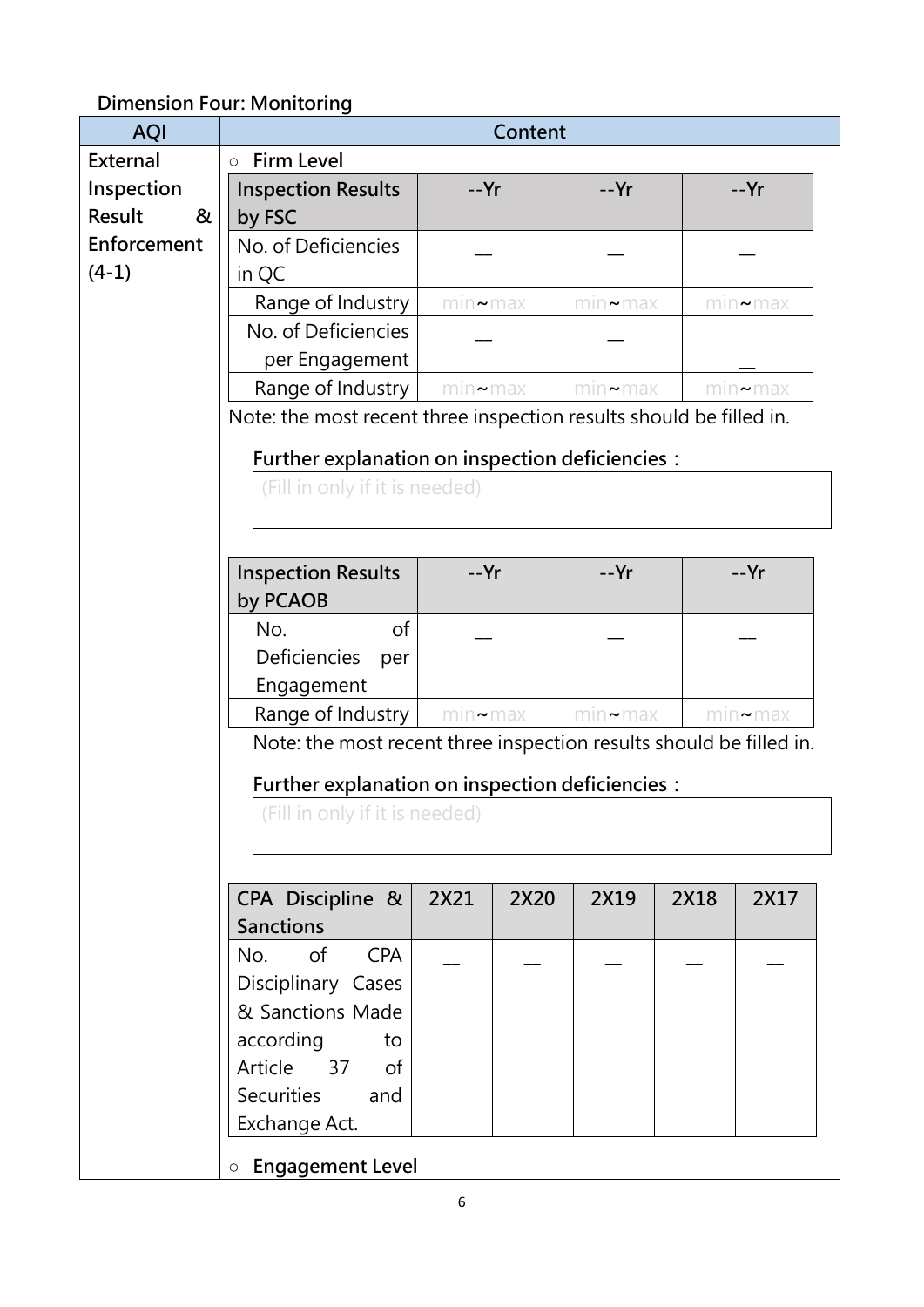### **Dimension Four: Monitoring**

| <b>AQI</b>      | Content                                                                 |                |      |                |      |                |  |
|-----------------|-------------------------------------------------------------------------|----------------|------|----------------|------|----------------|--|
| <b>External</b> | <b>Firm Level</b><br>$\circ$                                            |                |      |                |      |                |  |
| Inspection      | <b>Inspection Results</b>                                               | $-Yr$          |      | $-Yr$          |      | --Yr           |  |
| Result<br>&     | by FSC                                                                  |                |      |                |      |                |  |
| Enforcement     | No. of Deficiencies                                                     |                |      |                |      |                |  |
| $(4-1)$         | in QC                                                                   |                |      |                |      |                |  |
|                 | Range of Industry                                                       | $min \sim max$ |      | $min \sim max$ |      | $min \sim max$ |  |
|                 | No. of Deficiencies                                                     |                |      |                |      |                |  |
|                 | per Engagement                                                          |                |      |                |      |                |  |
|                 | Range of Industry                                                       | $min \sim max$ |      | $min \sim max$ |      | $min \sim max$ |  |
|                 | Note: the most recent three inspection results should be filled in.     |                |      |                |      |                |  |
|                 | Further explanation on inspection deficiencies :                        |                |      |                |      |                |  |
|                 | (Fill in only if it is needed)                                          |                |      |                |      |                |  |
|                 |                                                                         |                |      |                |      |                |  |
|                 |                                                                         |                |      |                |      |                |  |
|                 | <b>Inspection Results</b>                                               | --Yr           |      | --Yr           |      | --Yr           |  |
|                 | by PCAOB                                                                |                |      |                |      |                |  |
|                 | of<br>No.                                                               |                |      |                |      |                |  |
|                 | Deficiencies<br>per                                                     |                |      |                |      |                |  |
|                 | Engagement                                                              |                |      |                |      |                |  |
|                 | Range of Industry<br>$min \sim max$<br>$min \sim max$<br>$min \sim max$ |                |      |                |      |                |  |
|                 | Note: the most recent three inspection results should be filled in.     |                |      |                |      |                |  |
|                 |                                                                         |                |      |                |      |                |  |
|                 | Further explanation on inspection deficiencies :                        |                |      |                |      |                |  |
|                 | (Fill in only if it is needed)                                          |                |      |                |      |                |  |
|                 |                                                                         |                |      |                |      |                |  |
|                 |                                                                         |                |      |                |      |                |  |
|                 | CPA Discipline &                                                        | 2X21           | 2X20 | 2X19           | 2X18 | 2X17           |  |
|                 | <b>Sanctions</b>                                                        |                |      |                |      |                |  |
|                 | <b>CPA</b><br>of<br>No.                                                 |                |      |                |      |                |  |
|                 | Disciplinary Cases                                                      |                |      |                |      |                |  |
|                 | & Sanctions Made                                                        |                |      |                |      |                |  |
|                 | according<br>to                                                         |                |      |                |      |                |  |
|                 | Article<br>37<br><sub>of</sub>                                          |                |      |                |      |                |  |
|                 | <b>Securities</b><br>and                                                |                |      |                |      |                |  |
|                 | Exchange Act.                                                           |                |      |                |      |                |  |
|                 | <b>o</b> Engagement Level                                               |                |      |                |      |                |  |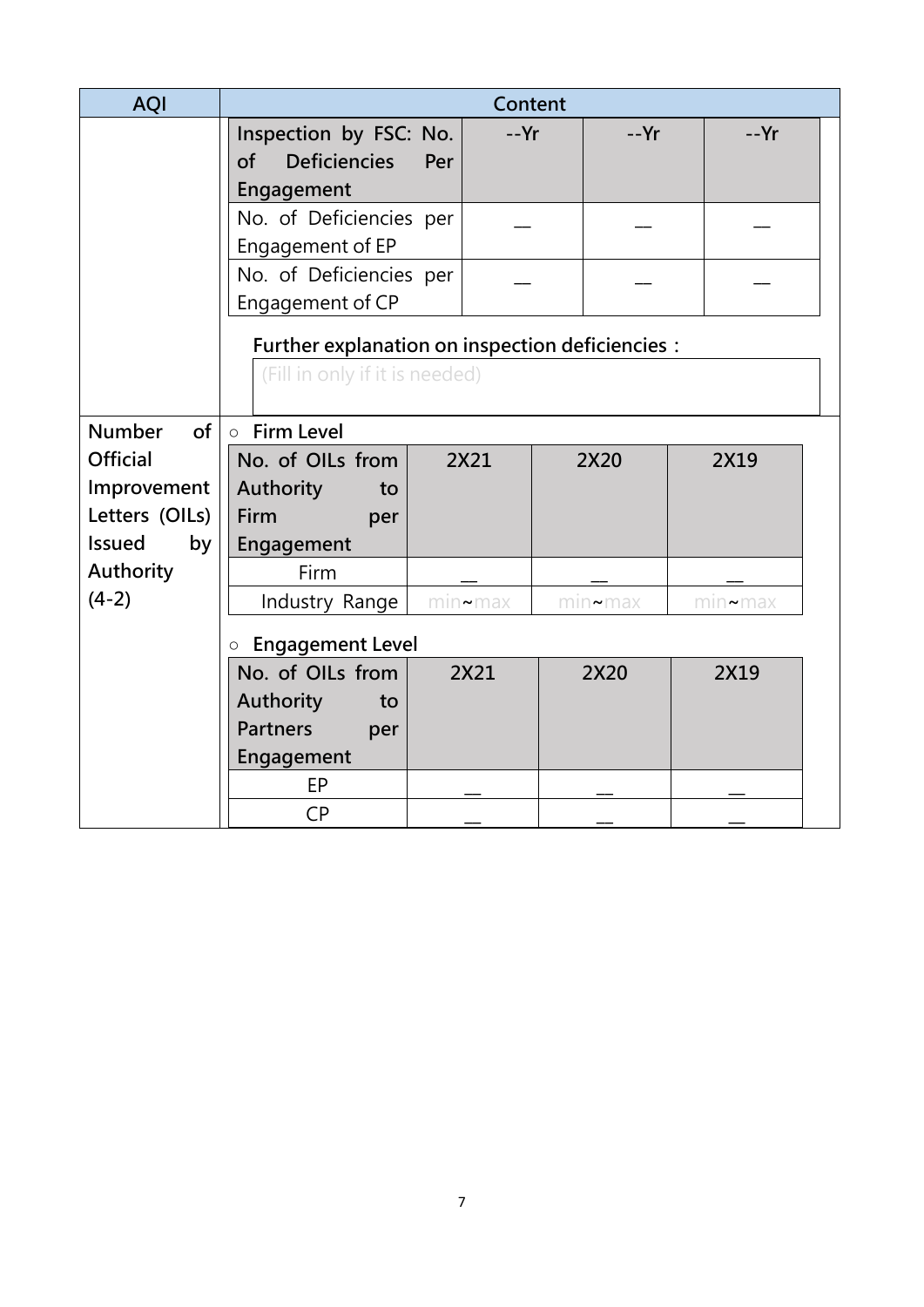| <b>AQI</b>          | Content                                          |     |                |  |                   |                |  |
|---------------------|--------------------------------------------------|-----|----------------|--|-------------------|----------------|--|
|                     | Inspection by FSC: No.                           |     | --Yr           |  | $-Yr$             | $-Yr$          |  |
|                     | <b>Deficiencies</b><br>of                        | Per |                |  |                   |                |  |
|                     | Engagement                                       |     |                |  |                   |                |  |
|                     | No. of Deficiencies per                          |     |                |  |                   |                |  |
|                     | Engagement of EP                                 |     |                |  |                   |                |  |
|                     | No. of Deficiencies per                          |     |                |  |                   |                |  |
|                     | Engagement of CP                                 |     |                |  |                   |                |  |
|                     | Further explanation on inspection deficiencies : |     |                |  |                   |                |  |
|                     | (Fill in only if it is needed)                   |     |                |  |                   |                |  |
|                     |                                                  |     |                |  |                   |                |  |
| <b>Number</b><br>of | ○ Firm Level                                     |     |                |  |                   |                |  |
| <b>Official</b>     | No. of OILs from                                 |     | 2X21           |  | 2X20              | 2X19           |  |
| Improvement         | Authority<br>to                                  |     |                |  |                   |                |  |
| Letters (OILs)      | Firm<br>per                                      |     |                |  |                   |                |  |
| <b>Issued</b><br>by | Engagement                                       |     |                |  |                   |                |  |
| Authority           | Firm                                             |     |                |  |                   |                |  |
| $(4-2)$             | Industry Range                                   |     | $min \sim max$ |  | $m$ ın $\sim$ max | $min \sim max$ |  |
|                     | <b>Engagement Level</b><br>$\circ$               |     |                |  |                   |                |  |
|                     | No. of OILs from                                 |     | 2X21           |  | 2X20              | 2X19           |  |
|                     | Authority<br>to                                  |     |                |  |                   |                |  |
|                     | <b>Partners</b><br>per                           |     |                |  |                   |                |  |
|                     | Engagement                                       |     |                |  |                   |                |  |
|                     | EP                                               |     |                |  |                   |                |  |
|                     | <b>CP</b>                                        |     |                |  |                   |                |  |